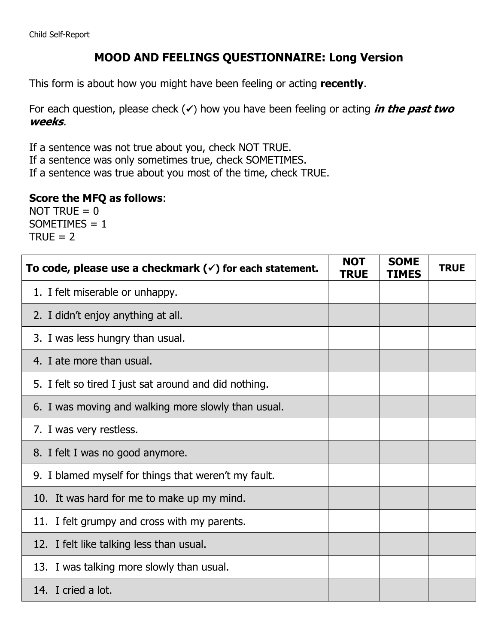## **MOOD AND FEELINGS QUESTIONNAIRE: Long Version**

This form is about how you might have been feeling or acting **recently**.

For each question, please check  $(\checkmark)$  how you have been feeling or acting *in the past two* **weeks**.

If a sentence was not true about you, check NOT TRUE.

If a sentence was only sometimes true, check SOMETIMES.

If a sentence was true about you most of the time, check TRUE.

## **Score the MFQ as follows**:

NOT TRUE  $= 0$  $SOMETIMES = 1$  $TRUE = 2$ 

| To code, please use a checkmark $(\check{\phantom{\prime}})$ for each statement. | <b>NOT</b><br><b>TRUE</b> | <b>SOME</b><br><b>TIMES</b> | <b>TRUE</b> |
|----------------------------------------------------------------------------------|---------------------------|-----------------------------|-------------|
| 1. I felt miserable or unhappy.                                                  |                           |                             |             |
| 2. I didn't enjoy anything at all.                                               |                           |                             |             |
| 3. I was less hungry than usual.                                                 |                           |                             |             |
| 4. I ate more than usual.                                                        |                           |                             |             |
| 5. I felt so tired I just sat around and did nothing.                            |                           |                             |             |
| 6. I was moving and walking more slowly than usual.                              |                           |                             |             |
| 7. I was very restless.                                                          |                           |                             |             |
| 8. I felt I was no good anymore.                                                 |                           |                             |             |
| 9. I blamed myself for things that weren't my fault.                             |                           |                             |             |
| 10. It was hard for me to make up my mind.                                       |                           |                             |             |
| 11. I felt grumpy and cross with my parents.                                     |                           |                             |             |
| 12. I felt like talking less than usual.                                         |                           |                             |             |
| 13. I was talking more slowly than usual.                                        |                           |                             |             |
| 14. I cried a lot.                                                               |                           |                             |             |